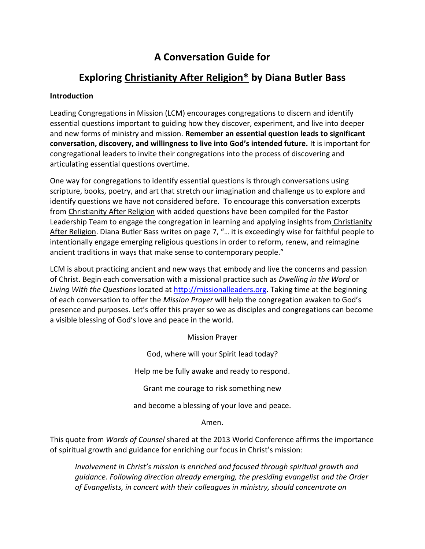# **A Conversation Guide for**

# **Exploring Christianity After Religion\* by Diana Butler Bass**

## **Introduction**

Leading Congregations in Mission (LCM) encourages congregations to discern and identify essential questions important to guiding how they discover, experiment, and live into deeper and new forms of ministry and mission. **Remember an essential question leads to significant conversation, discovery, and willingness to live into God's intended future.** It is important for congregational leaders to invite their congregations into the process of discovering and articulating essential questions overtime.

One way for congregations to identify essential questions is through conversations using scripture, books, poetry, and art that stretch our imagination and challenge us to explore and identify questions we have not considered before. To encourage this conversation excerpts from Christianity After Religion with added questions have been compiled for the Pastor Leadership Team to engage the congregation in learning and applying insights from Christianity After Religion. Diana Butler Bass writes on page 7, "… it is exceedingly wise for faithful people to intentionally engage emerging religious questions in order to reform, renew, and reimagine ancient traditions in ways that make sense to contemporary people."

LCM is about practicing ancient and new ways that embody and live the concerns and passion of Christ. Begin each conversation with a missional practice such as *Dwelling in the Word* or *Living With the Questions* located at http://missionalleaders.org. Taking time at the beginning of each conversation to offer the *Mission Prayer* will help the congregation awaken to God's presence and purposes. Let's offer this prayer so we as disciples and congregations can become a visible blessing of God's love and peace in the world.

Mission Prayer

God, where will your Spirit lead today?

Help me be fully awake and ready to respond.

Grant me courage to risk something new

and become a blessing of your love and peace.

Amen.

This quote from *Words of Counsel* shared at the 2013 World Conference affirms the importance of spiritual growth and guidance for enriching our focus in Christ's mission:

*Involvement in Christ's mission is enriched and focused through spiritual growth and guidance. Following direction already emerging, the presiding evangelist and the Order of Evangelists, in concert with their colleagues in ministry, should concentrate on*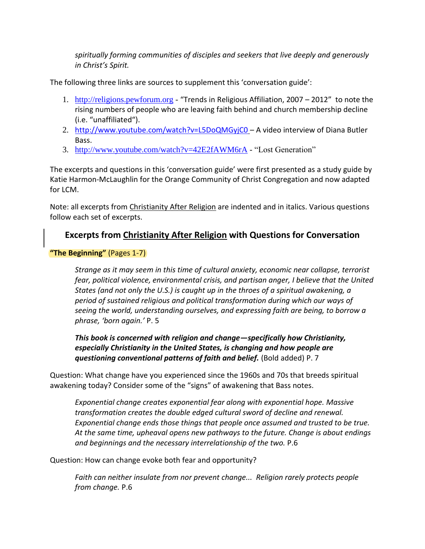*spiritually forming communities of disciples and seekers that live deeply and generously in Christ's Spirit.*

The following three links are sources to supplement this 'conversation guide':

- 1. http://religions.pewforum.org "Trends in Religious Affiliation, 2007 2012" to note the rising numbers of people who are leaving faith behind and church membership decline (i.e. "unaffiliated").
- 2. http://www.youtube.com/watch?v=L5DoQMGyjC0 A video interview of Diana Butler Bass.
- 3. http://www.youtube.com/watch?v=42E2fAWM6rA "Lost Generation"

The excerpts and questions in this 'conversation guide' were first presented as a study guide by Katie Harmon-McLaughlin for the Orange Community of Christ Congregation and now adapted for LCM.

Note: all excerpts from Christianity After Religion are indented and in italics. Various questions follow each set of excerpts.

# **Excerpts from Christianity After Religion with Questions for Conversation**

# **"The Beginning"** (Pages 1-7)

*Strange as it may seem in this time of cultural anxiety, economic near collapse, terrorist fear, political violence, environmental crisis, and partisan anger, I believe that the United States (and not only the U.S.) is caught up in the throes of a spiritual awakening, a period of sustained religious and political transformation during which our ways of seeing the world, understanding ourselves, and expressing faith are being, to borrow a phrase, 'born again.'* P. 5

*This book is concerned with religion and change—specifically how Christianity, especially Christianity in the United States, is changing and how people are questioning conventional patterns of faith and belief.* (Bold added) P. 7

Question: What change have you experienced since the 1960s and 70s that breeds spiritual awakening today? Consider some of the "signs" of awakening that Bass notes.

*Exponential change creates exponential fear along with exponential hope. Massive transformation creates the double edged cultural sword of decline and renewal. Exponential change ends those things that people once assumed and trusted to be true. At the same time, upheaval opens new pathways to the future. Change is about endings and beginnings and the necessary interrelationship of the two.* P.6

Question: How can change evoke both fear and opportunity?

*Faith can neither insulate from nor prevent change... Religion rarely protects people from change.* P.6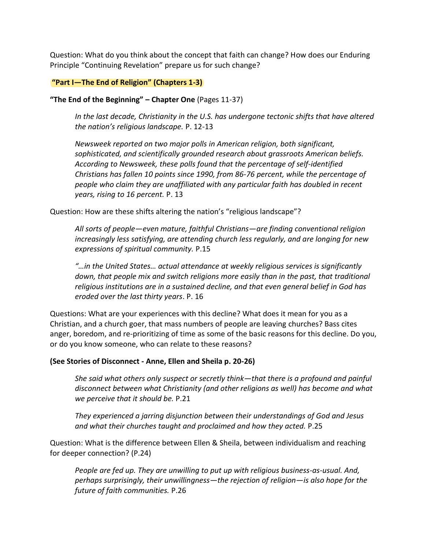Question: What do you think about the concept that faith can change? How does our Enduring Principle "Continuing Revelation" prepare us for such change?

### **"Part I—The End of Religion" (Chapters 1-3)**

#### **"The End of the Beginning" – Chapter One** (Pages 11-37)

*In the last decade, Christianity in the U.S. has undergone tectonic shifts that have altered the nation's religious landscape.* P. 12-13

*Newsweek reported on two major polls in American religion, both significant, sophisticated, and scientifically grounded research about grassroots American beliefs. According to Newsweek, these polls found that the percentage of self-identified Christians has fallen 10 points since 1990, from 86-76 percent, while the percentage of people who claim they are unaffiliated with any particular faith has doubled in recent years, rising to 16 percent.* P. 13

Question: How are these shifts altering the nation's "religious landscape"?

*All sorts of people—even mature, faithful Christians—are finding conventional religion increasingly less satisfying, are attending church less regularly, and are longing for new expressions of spiritual community.* P.15

*"…in the United States… actual attendance at weekly religious services is significantly down, that people mix and switch religions more easily than in the past, that traditional religious institutions are in a sustained decline, and that even general belief in God has eroded over the last thirty years*. P. 16

Questions: What are your experiences with this decline? What does it mean for you as a Christian, and a church goer, that mass numbers of people are leaving churches? Bass cites anger, boredom, and re-prioritizing of time as some of the basic reasons for this decline. Do you, or do you know someone, who can relate to these reasons?

#### **(See Stories of Disconnect - Anne, Ellen and Sheila p. 20-26)**

*She said what others only suspect or secretly think—that there is a profound and painful disconnect between what Christianity (and other religions as well) has become and what we perceive that it should be.* P.21

*They experienced a jarring disjunction between their understandings of God and Jesus and what their churches taught and proclaimed and how they acted.* P.25

Question: What is the difference between Ellen & Sheila, between individualism and reaching for deeper connection? (P.24)

*People are fed up. They are unwilling to put up with religious business-as-usual. And, perhaps surprisingly, their unwillingness—the rejection of religion—is also hope for the future of faith communities.* P.26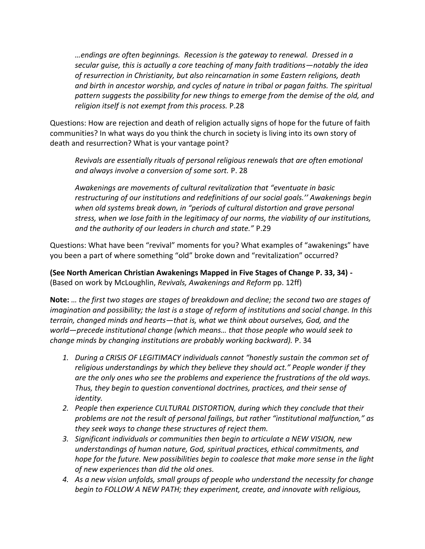*…endings are often beginnings. Recession is the gateway to renewal. Dressed in a secular guise, this is actually a core teaching of many faith traditions—notably the idea of resurrection in Christianity, but also reincarnation in some Eastern religions, death and birth in ancestor worship, and cycles of nature in tribal or pagan faiths. The spiritual pattern suggests the possibility for new things to emerge from the demise of the old, and religion itself is not exempt from this process.* P.28

Questions: How are rejection and death of religion actually signs of hope for the future of faith communities? In what ways do you think the church in society is living into its own story of death and resurrection? What is your vantage point?

*Revivals are essentially rituals of personal religious renewals that are often emotional and always involve a conversion of some sort.* P. 28

*Awakenings are movements of cultural revitalization that "eventuate in basic restructuring of our institutions and redefinitions of our social goals.'' Awakenings begin when old systems break down, in "periods of cultural distortion and grave personal stress, when we lose faith in the legitimacy of our norms, the viability of our institutions, and the authority of our leaders in church and state."* P.29

Questions: What have been "revival" moments for you? What examples of "awakenings" have you been a part of where something "old" broke down and "revitalization" occurred?

**(See North American Christian Awakenings Mapped in Five Stages of Change P. 33, 34) -** (Based on work by McLoughlin, *Revivals, Awakenings and Reform* pp. 12ff)

**Note:** *… the first two stages are stages of breakdown and decline; the second two are stages of imagination and possibility; the last is a stage of reform of institutions and social change. In this terrain, changed minds and hearts—that is, what we think about ourselves, God, and the world—precede institutional change (which means… that those people who would seek to change minds by changing institutions are probably working backward).* P. 34

- *1. During a CRISIS OF LEGITIMACY individuals cannot "honestly sustain the common set of religious understandings by which they believe they should act." People wonder if they are the only ones who see the problems and experience the frustrations of the old ways. Thus, they begin to question conventional doctrines, practices, and their sense of identity.*
- *2. People then experience CULTURAL DISTORTION, during which they conclude that their problems are not the result of personal failings, but rather "institutional malfunction," as they seek ways to change these structures of reject them.*
- *3. Significant individuals or communities then begin to articulate a NEW VISION, new understandings of human nature, God, spiritual practices, ethical commitments, and hope for the future. New possibilities begin to coalesce that make more sense in the light of new experiences than did the old ones.*
- *4. As a new vision unfolds, small groups of people who understand the necessity for change begin to FOLLOW A NEW PATH; they experiment, create, and innovate with religious,*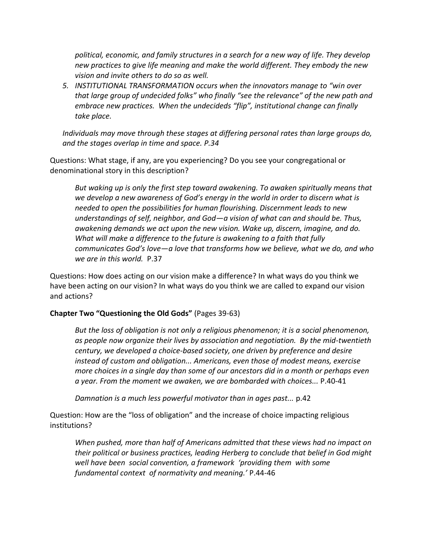*political, economic, and family structures in a search for a new way of life. They develop new practices to give life meaning and make the world different. They embody the new vision and invite others to do so as well.*

*5. INSTITUTIONAL TRANSFORMATION occurs when the innovators manage to "win over that large group of undecided folks" who finally "see the relevance" of the new path and embrace new practices. When the undecideds "flip", institutional change can finally take place.*

*Individuals may move through these stages at differing personal rates than large groups do, and the stages overlap in time and space. P.34*

Questions: What stage, if any, are you experiencing? Do you see your congregational or denominational story in this description?

*But waking up is only the first step toward awakening. To awaken spiritually means that we develop a new awareness of God's energy in the world in order to discern what is needed to open the possibilities for human flourishing. Discernment leads to new understandings of self, neighbor, and God—a vision of what can and should be. Thus, awakening demands we act upon the new vision. Wake up, discern, imagine, and do. What will make a difference to the future is awakening to a faith that fully communicates God's love—a love that transforms how we believe, what we do, and who we are in this world.* P.37

Questions: How does acting on our vision make a difference? In what ways do you think we have been acting on our vision? In what ways do you think we are called to expand our vision and actions?

## **Chapter Two "Questioning the Old Gods"** (Pages 39-63)

*But the loss of obligation is not only a religious phenomenon; it is a social phenomenon, as people now organize their lives by association and negotiation. By the mid-twentieth century, we developed a choice-based society, one driven by preference and desire instead of custom and obligation... Americans, even those of modest means, exercise more choices in a single day than some of our ancestors did in a month or perhaps even a year. From the moment we awaken, we are bombarded with choices...* P.40-41

*Damnation is a much less powerful motivator than in ages past...* p.42

Question: How are the "loss of obligation" and the increase of choice impacting religious institutions?

*When pushed, more than half of Americans admitted that these views had no impact on their political or business practices, leading Herberg to conclude that belief in God might well have been social convention, a framework 'providing them with some fundamental context of normativity and meaning.'* P.44-46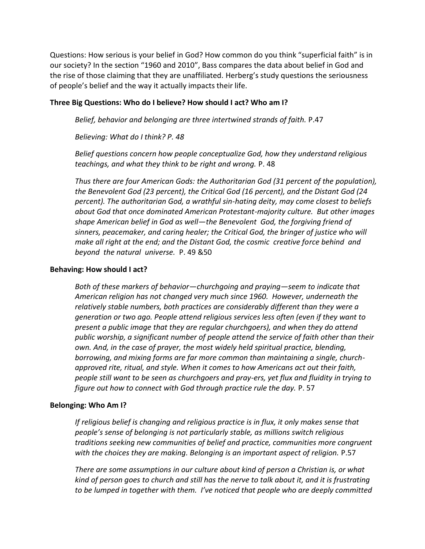Questions: How serious is your belief in God? How common do you think "superficial faith" is in our society? In the section "1960 and 2010", Bass compares the data about belief in God and the rise of those claiming that they are unaffiliated. Herberg's study questions the seriousness of people's belief and the way it actually impacts their life.

#### **Three Big Questions: Who do I believe? How should I act? Who am I?**

*Belief, behavior and belonging are three intertwined strands of faith.* P.47

*Believing: What do I think? P. 48*

*Belief questions concern how people conceptualize God, how they understand religious teachings, and what they think to be right and wrong.* P. 48

*Thus there are four American Gods: the Authoritarian God (31 percent of the population), the Benevolent God (23 percent), the Critical God (16 percent), and the Distant God (24 percent). The authoritarian God, a wrathful sin-hating deity, may come closest to beliefs about God that once dominated American Protestant-majority culture. But other images shape American belief in God as well—the Benevolent God, the forgiving friend of sinners, peacemaker, and caring healer; the Critical God, the bringer of justice who will make all right at the end; and the Distant God, the cosmic creative force behind and beyond the natural universe.* P. 49 &50

#### **Behaving: How should I act?**

*Both of these markers of behavior—churchgoing and praying—seem to indicate that American religion has not changed very much since 1960. However, underneath the relatively stable numbers, both practices are considerably different than they were a generation or two ago. People attend religious services less often (even if they want to present a public image that they are regular churchgoers), and when they do attend public worship, a significant number of people attend the service of faith other than their own. And, in the case of prayer, the most widely held spiritual practice, blending, borrowing, and mixing forms are far more common than maintaining a single, churchapproved rite, ritual, and style. When it comes to how Americans act out their faith, people still want to be seen as churchgoers and pray-ers, yet flux and fluidity in trying to figure out how to connect with God through practice rule the day.* P. 57

## **Belonging: Who Am I?**

*If religious belief is changing and religious practice is in flux, it only makes sense that people's sense of belonging is not particularly stable, as millions switch religious traditions seeking new communities of belief and practice, communities more congruent with the choices they are making. Belonging is an important aspect of religion.* P.57

*There are some assumptions in our culture about kind of person a Christian is, or what kind of person goes to church and still has the nerve to talk about it, and it is frustrating to be lumped in together with them. I've noticed that people who are deeply committed*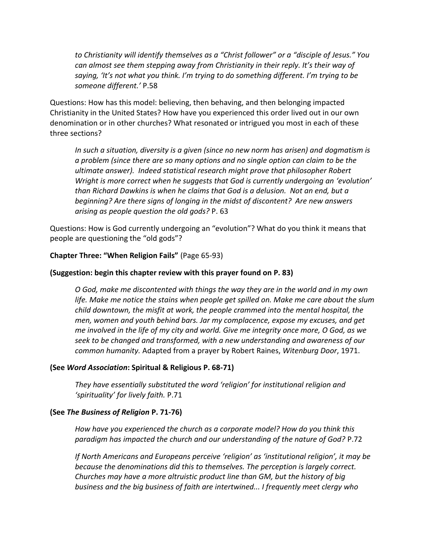*to Christianity will identify themselves as a "Christ follower" or a "disciple of Jesus." You can almost see them stepping away from Christianity in their reply. It's their way of saying, 'It's not what you think. I'm trying to do something different. I'm trying to be someone different.'* P.58

Questions: How has this model: believing, then behaving, and then belonging impacted Christianity in the United States? How have you experienced this order lived out in our own denomination or in other churches? What resonated or intrigued you most in each of these three sections?

*In such a situation, diversity is a given (since no new norm has arisen) and dogmatism is a problem (since there are so many options and no single option can claim to be the ultimate answer). Indeed statistical research might prove that philosopher Robert Wright is more correct when he suggests that God is currently undergoing an 'evolution' than Richard Dawkins is when he claims that God is a delusion. Not an end, but a beginning? Are there signs of longing in the midst of discontent? Are new answers arising as people question the old gods?* P. 63

Questions: How is God currently undergoing an "evolution"? What do you think it means that people are questioning the "old gods"?

**Chapter Three: "When Religion Fails"** (Page 65-93)

### **(Suggestion: begin this chapter review with this prayer found on P. 83)**

*O God, make me discontented with things the way they are in the world and in my own life. Make me notice the stains when people get spilled on. Make me care about the slum child downtown, the misfit at work, the people crammed into the mental hospital, the men, women and youth behind bars. Jar my complacence, expose my excuses, and get me involved in the life of my city and world. Give me integrity once more, O God, as we seek to be changed and transformed, with a new understanding and awareness of our common humanity.* Adapted from a prayer by Robert Raines, *Witenburg Door*, 1971.

## **(See** *Word Association***: Spiritual & Religious P. 68-71)**

*They have essentially substituted the word 'religion' for institutional religion and 'spirituality' for lively faith.* P.71

#### **(See** *The Business of Religion* **P. 71-76)**

*How have you experienced the church as a corporate model? How do you think this paradigm has impacted the church and our understanding of the nature of God?* P.72

*If North Americans and Europeans perceive 'religion' as 'institutional religion', it may be because the denominations did this to themselves. The perception is largely correct. Churches may have a more altruistic product line than GM, but the history of big business and the big business of faith are intertwined... I frequently meet clergy who*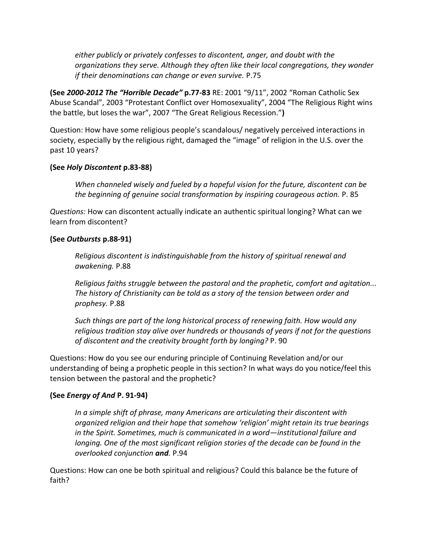*either publicly or privately confesses to discontent, anger, and doubt with the organizations they serve. Although they often like their local congregations, they wonder if their denominations can change or even survive.* P.75

**(See** *2000-2012 The "Horrible Decade"* **p.77-83** RE: 2001 "9/11", 2002 "Roman Catholic Sex Abuse Scandal", 2003 "Protestant Conflict over Homosexuality", 2004 "The Religious Right wins the battle, but loses the war", 2007 "The Great Religious Recession."**)**

Question: How have some religious people's scandalous/ negatively perceived interactions in society, especially by the religious right, damaged the "image" of religion in the U.S. over the past 10 years?

## **(See** *Holy Discontent* **p.83-88)**

*When channeled wisely and fueled by a hopeful vision for the future, discontent can be the beginning of genuine social transformation by inspiring courageous action.* P. 85

*Questions:* How can discontent actually indicate an authentic spiritual longing? What can we learn from discontent?

## **(See** *Outbursts* **p.88-91)**

*Religious discontent is indistinguishable from the history of spiritual renewal and awakening.* P.88

*Religious faiths struggle between the pastoral and the prophetic, comfort and agitation... The history of Christianity can be told as a story of the tension between order and prophesy.* P.88

*Such things are part of the long historical process of renewing faith. How would any religious tradition stay alive over hundreds or thousands of years if not for the questions of discontent and the creativity brought forth by longing?* P. 90

Questions: How do you see our enduring principle of Continuing Revelation and/or our understanding of being a prophetic people in this section? In what ways do you notice/feel this tension between the pastoral and the prophetic?

## **(See** *Energy of And* **P. 91-94)**

*In a simple shift of phrase, many Americans are articulating their discontent with organized religion and their hope that somehow 'religion' might retain its true bearings in the Spirit. Sometimes, much is communicated in a word—institutional failure and longing. One of the most significant religion stories of the decade can be found in the overlooked conjunction and.* P.94

Questions: How can one be both spiritual and religious? Could this balance be the future of faith?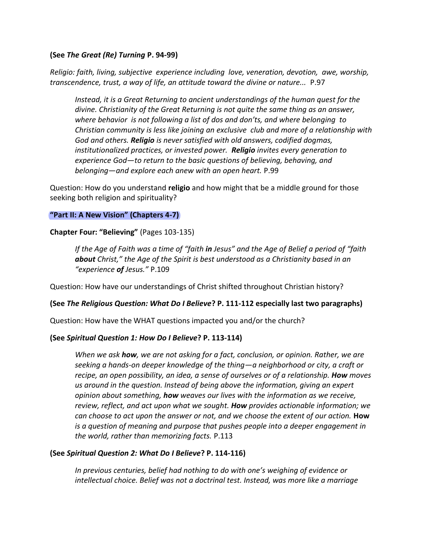## **(See** *The Great (Re) Turning* **P. 94-99)**

*Religio: faith, living, subjective experience including love, veneration, devotion, awe, worship, transcendence, trust, a way of life, an attitude toward the divine or nature...* P.97

*Instead, it is a Great Returning to ancient understandings of the human quest for the divine. Christianity of the Great Returning is not quite the same thing as an answer, where behavior is not following a list of dos and don'ts, and where belonging to Christian community is less like joining an exclusive club and more of a relationship with God and others. Religio is never satisfied with old answers, codified dogmas, institutionalized practices, or invested power. Religio invites every generation to experience God—to return to the basic questions of believing, behaving, and belonging—and explore each anew with an open heart.* P.99

Question: How do you understand **religio** and how might that be a middle ground for those seeking both religion and spirituality?

#### **"Part II: A New Vision" (Chapters 4-7)**

#### **Chapter Four: "Believing"** (Pages 103-135)

*If the Age of Faith was a time of "faith in Jesus" and the Age of Belief a period of "faith about Christ," the Age of the Spirit is best understood as a Christianity based in an "experience of Jesus."* P.109

Question: How have our understandings of Christ shifted throughout Christian history?

#### **(See** *The Religious Question: What Do I Believe***? P. 111-112 especially last two paragraphs)**

Question: How have the WHAT questions impacted you and/or the church?

## **(See** *Spiritual Question 1: How Do I Believe***? P. 113-114)**

*When we ask how, we are not asking for a fact, conclusion, or opinion. Rather, we are seeking a hands-on deeper knowledge of the thing—a neighborhood or city, a craft or recipe, an open possibility, an idea, a sense of ourselves or of a relationship. How moves us around in the question. Instead of being above the information, giving an expert opinion about something, how weaves our lives with the information as we receive, review, reflect, and act upon what we sought. How provides actionable information; we can choose to act upon the answer or not, and we choose the extent of our action.* **How** *is a question of meaning and purpose that pushes people into a deeper engagement in the world, rather than memorizing facts.* P.113

#### **(See** *Spiritual Question 2: What Do I Believe***? P. 114-116)**

*In previous centuries, belief had nothing to do with one's weighing of evidence or intellectual choice. Belief was not a doctrinal test. Instead, was more like a marriage*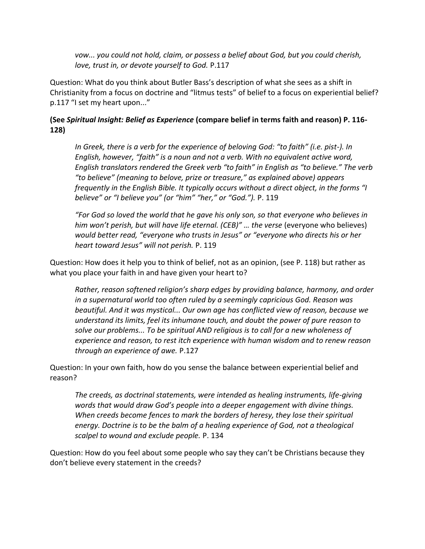*vow... you could not hold, claim, or possess a belief about God, but you could cherish, love, trust in, or devote yourself to God.* P.117

Question: What do you think about Butler Bass's description of what she sees as a shift in Christianity from a focus on doctrine and "litmus tests" of belief to a focus on experiential belief? p.117 "I set my heart upon..."

# **(See** *Spiritual Insight: Belief as Experience* **(compare belief in terms faith and reason) P. 116- 128)**

*In Greek, there is a verb for the experience of beloving God: "to faith" (i.e. pist-). In English, however, "faith" is a noun and not a verb. With no equivalent active word, English translators rendered the Greek verb "to faith" in English as "to believe." The verb "to believe" (meaning to belove, prize or treasure," as explained above) appears frequently in the English Bible. It typically occurs without a direct object, in the forms "I believe" or "I believe you" (or "him" "her," or "God.").* P. 119

*"For God so loved the world that he gave his only son, so that everyone who believes in him won't perish, but will have life eternal. (CEB)" ... the verse (everyone who believes) would better read, "everyone who trusts in Jesus" or "everyone who directs his or her heart toward Jesus" will not perish.* P. 119

Question: How does it help you to think of belief, not as an opinion, (see P. 118) but rather as what you place your faith in and have given your heart to?

*Rather, reason softened religion's sharp edges by providing balance, harmony, and order in a supernatural world too often ruled by a seemingly capricious God. Reason was beautiful. And it was mystical... Our own age has conflicted view of reason, because we understand its limits, feel its inhumane touch, and doubt the power of pure reason to solve our problems... To be spiritual AND religious is to call for a new wholeness of experience and reason, to rest itch experience with human wisdom and to renew reason through an experience of awe.* P.127

Question: In your own faith, how do you sense the balance between experiential belief and reason?

*The creeds, as doctrinal statements, were intended as healing instruments, life-giving words that would draw God's people into a deeper engagement with divine things. When creeds become fences to mark the borders of heresy, they lose their spiritual energy. Doctrine is to be the balm of a healing experience of God, not a theological scalpel to wound and exclude people.* P. 134

Question: How do you feel about some people who say they can't be Christians because they don't believe every statement in the creeds?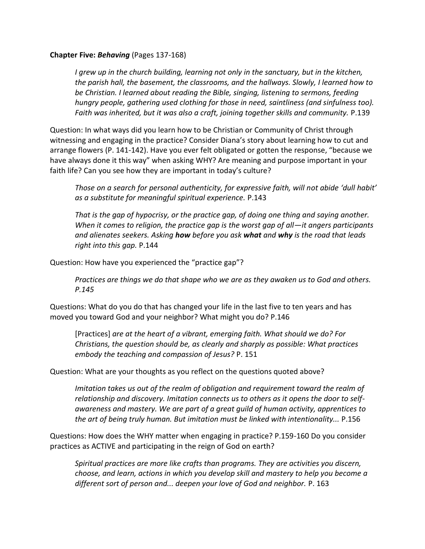### **Chapter Five:** *Behaving* (Pages 137-168)

*I grew up in the church building, learning not only in the sanctuary, but in the kitchen, the parish hall, the basement, the classrooms, and the hallways. Slowly, I learned how to be Christian. I learned about reading the Bible, singing, listening to sermons, feeding hungry people, gathering used clothing for those in need, saintliness (and sinfulness too). Faith was inherited, but it was also a craft, joining together skills and community.* P.139

Question: In what ways did you learn how to be Christian or Community of Christ through witnessing and engaging in the practice? Consider Diana's story about learning how to cut and arrange flowers (P. 141-142). Have you ever felt obligated or gotten the response, "because we have always done it this way" when asking WHY? Are meaning and purpose important in your faith life? Can you see how they are important in today's culture?

*Those on a search for personal authenticity, for expressive faith, will not abide 'dull habit' as a substitute for meaningful spiritual experience.* P.143

*That is the gap of hypocrisy, or the practice gap, of doing one thing and saying another. When it comes to religion, the practice gap is the worst gap of all—it angers participants and alienates seekers. Asking how before you ask what and why is the road that leads right into this gap.* P.144

Question: How have you experienced the "practice gap"?

*Practices are things we do that shape who we are as they awaken us to God and others. P.145* 

Questions: What do you do that has changed your life in the last five to ten years and has moved you toward God and your neighbor? What might you do? P.146

[Practices] *are at the heart of a vibrant, emerging faith. What should we do? For Christians, the question should be, as clearly and sharply as possible: What practices embody the teaching and compassion of Jesus?* P. 151

Question: What are your thoughts as you reflect on the questions quoted above?

*Imitation takes us out of the realm of obligation and requirement toward the realm of relationship and discovery. Imitation connects us to others as it opens the door to selfawareness and mastery. We are part of a great guild of human activity, apprentices to the art of being truly human. But imitation must be linked with intentionality...* P.156

Questions: How does the WHY matter when engaging in practice? P.159-160 Do you consider practices as ACTIVE and participating in the reign of God on earth?

*Spiritual practices are more like crafts than programs. They are activities you discern, choose, and learn, actions in which you develop skill and mastery to help you become a different sort of person and... deepen your love of God and neighbor.* P. 163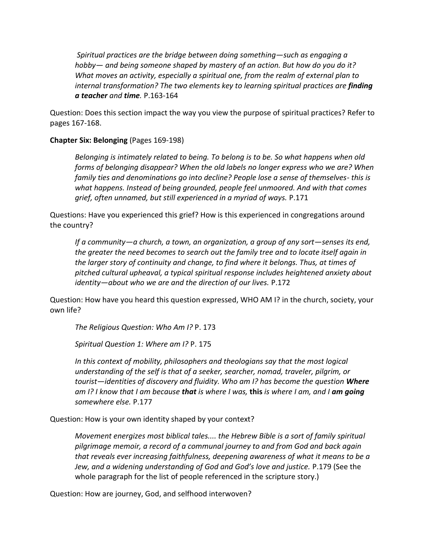*Spiritual practices are the bridge between doing something—such as engaging a hobby— and being someone shaped by mastery of an action. But how do you do it? What moves an activity, especially a spiritual one, from the realm of external plan to internal transformation? The two elements key to learning spiritual practices are finding a teacher and time.* P.163-164

Question: Does this section impact the way you view the purpose of spiritual practices? Refer to pages 167-168.

## **Chapter Six: Belonging** (Pages 169-198)

*Belonging is intimately related to being. To belong is to be. So what happens when old forms of belonging disappear? When the old labels no longer express who we are? When family ties and denominations go into decline? People lose a sense of themselves- this is what happens. Instead of being grounded, people feel unmoored. And with that comes grief, often unnamed, but still experienced in a myriad of ways.* P.171

Questions: Have you experienced this grief? How is this experienced in congregations around the country?

*If a community—a church, a town, an organization, a group of any sort—senses its end, the greater the need becomes to search out the family tree and to locate itself again in the larger story of continuity and change, to find where it belongs. Thus, at times of pitched cultural upheaval, a typical spiritual response includes heightened anxiety about identity—about who we are and the direction of our lives.* P.172

Question: How have you heard this question expressed, WHO AM I? in the church, society, your own life?

*The Religious Question: Who Am I?* P. 173

*Spiritual Question 1: Where am I?* P. 175

In this context of mobility, philosophers and theologians say that the most logical *understanding of the self is that of a seeker, searcher, nomad, traveler, pilgrim, or tourist—identities of discovery and fluidity. Who am I? has become the question Where am I? I know that I am because that is where I was,* **this** *is where I am, and I am going somewhere else.* P.177

Question: How is your own identity shaped by your context?

*Movement energizes most biblical tales.... the Hebrew Bible is a sort of family spiritual pilgrimage memoir, a record of a communal journey to and from God and back again that reveals ever increasing faithfulness, deepening awareness of what it means to be a Jew, and a widening understanding of God and God's love and justice.* P.179 (See the whole paragraph for the list of people referenced in the scripture story.)

Question: How are journey, God, and selfhood interwoven?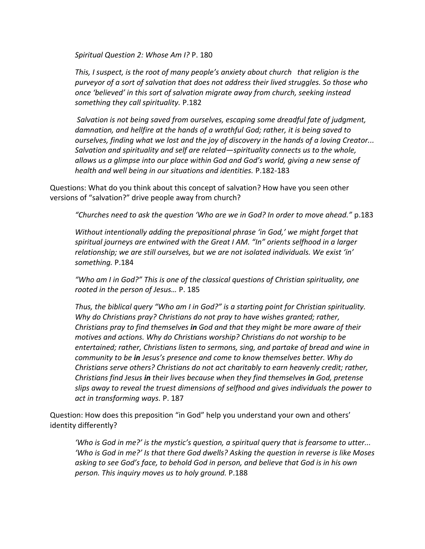*Spiritual Question 2: Whose Am I?* P. 180

*This, I suspect, is the root of many people's anxiety about church that religion is the purveyor of a sort of salvation that does not address their lived struggles. So those who once 'believed' in this sort of salvation migrate away from church, seeking instead something they call spirituality.* P.182

*Salvation is not being saved from ourselves, escaping some dreadful fate of judgment, damnation, and hellfire at the hands of a wrathful God; rather, it is being saved to ourselves, finding what we lost and the joy of discovery in the hands of a loving Creator... Salvation and spirituality and self are related—spirituality connects us to the whole, allows us a glimpse into our place within God and God's world, giving a new sense of health and well being in our situations and identities.* P.182-183

Questions: What do you think about this concept of salvation? How have you seen other versions of "salvation?" drive people away from church?

*"Churches need to ask the question 'Who are we in God? In order to move ahead."* p.183

*Without intentionally adding the prepositional phrase 'in God,' we might forget that spiritual journeys are entwined with the Great I AM. "In" orients selfhood in a larger relationship; we are still ourselves, but we are not isolated individuals. We exist 'in' something.* P.184

*"Who am I in God?" This is one of the classical questions of Christian spirituality, one rooted in the person of Jesus…* P. 185

*Thus, the biblical query "Who am I in God?" is a starting point for Christian spirituality. Why do Christians pray? Christians do not pray to have wishes granted; rather, Christians pray to find themselves in God and that they might be more aware of their motives and actions. Why do Christians worship? Christians do not worship to be entertained; rather, Christians listen to sermons, sing, and partake of bread and wine in community to be in Jesus's presence and come to know themselves better. Why do Christians serve others? Christians do not act charitably to earn heavenly credit; rather, Christians find Jesus in their lives because when they find themselves in God, pretense slips away to reveal the truest dimensions of selfhood and gives individuals the power to act in transforming ways.* P. 187

Question: How does this preposition "in God" help you understand your own and others' identity differently?

*'Who is God in me?' is the mystic's question, a spiritual query that is fearsome to utter... 'Who is God in me?' Is that there God dwells? Asking the question in reverse is like Moses asking to see God's face, to behold God in person, and believe that God is in his own person. This inquiry moves us to holy ground.* P.188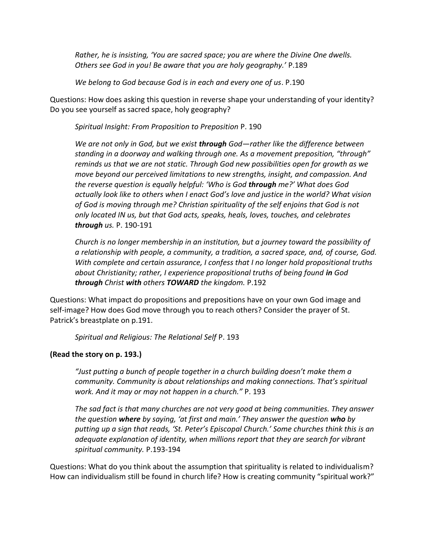*Rather, he is insisting, 'You are sacred space; you are where the Divine One dwells. Others see God in you! Be aware that you are holy geography.'* P.189

*We belong to God because God is in each and every one of us*. P.190

Questions: How does asking this question in reverse shape your understanding of your identity? Do you see yourself as sacred space, holy geography?

*Spiritual Insight: From Proposition to Preposition* P. 190

*We are not only in God, but we exist through God—rather like the difference between standing in a doorway and walking through one. As a movement preposition, "through" reminds us that we are not static. Through God new possibilities open for growth as we move beyond our perceived limitations to new strengths, insight, and compassion. And the reverse question is equally helpful: 'Who is God through me?' What does God actually look like to others when I enact God's love and justice in the world? What vision of God is moving through me? Christian spirituality of the self enjoins that God is not only located IN us, but that God acts, speaks, heals, loves, touches, and celebrates through us.* P. 190-191

*Church is no longer membership in an institution, but a journey toward the possibility of a relationship with people, a community, a tradition, a sacred space, and, of course, God. With complete and certain assurance, I confess that I no longer hold propositional truths about Christianity; rather, I experience propositional truths of being found in God through Christ with others TOWARD the kingdom.* P.192

Questions: What impact do propositions and prepositions have on your own God image and self-image? How does God move through you to reach others? Consider the prayer of St. Patrick's breastplate on p.191.

*Spiritual and Religious: The Relational Self* P. 193

# **(Read the story on p. 193.)**

*"Just putting a bunch of people together in a church building doesn't make them a community. Community is about relationships and making connections. That's spiritual work. And it may or may not happen in a church."* P. 193

*The sad fact is that many churches are not very good at being communities. They answer the question where by saying, 'at first and main.' They answer the question who by putting up a sign that reads, 'St. Peter's Episcopal Church.' Some churches think this is an adequate explanation of identity, when millions report that they are search for vibrant spiritual community.* P.193-194

Questions: What do you think about the assumption that spirituality is related to individualism? How can individualism still be found in church life? How is creating community "spiritual work?"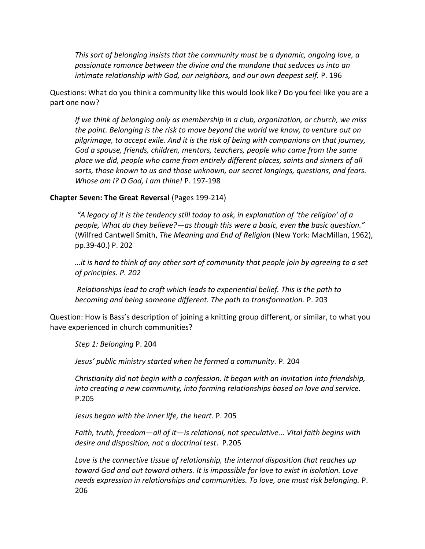*This sort of belonging insists that the community must be a dynamic, ongoing love, a passionate romance between the divine and the mundane that seduces us into an intimate relationship with God, our neighbors, and our own deepest self.* P. 196

Questions: What do you think a community like this would look like? Do you feel like you are a part one now?

*If we think of belonging only as membership in a club, organization, or church, we miss the point. Belonging is the risk to move beyond the world we know, to venture out on pilgrimage, to accept exile. And it is the risk of being with companions on that journey, God a spouse, friends, children, mentors, teachers, people who came from the same place we did, people who came from entirely different places, saints and sinners of all sorts, those known to us and those unknown, our secret longings, questions, and fears. Whose am I? O God, I am thine!* P. 197-198

#### **Chapter Seven: The Great Reversal** (Pages 199-214)

*"A legacy of it is the tendency still today to ask, in explanation of 'the religion' of a people, What do they believe?—as though this were a basic, even the basic question."* (Wilfred Cantwell Smith, *The Meaning and End of Religion* (New York: MacMillan, 1962), pp.39-40.) P. 202

*…it is hard to think of any other sort of community that people join by agreeing to a set of principles. P. 202*

*Relationships lead to craft which leads to experiential belief. This is the path to becoming and being someone different. The path to transformation.* P. 203

Question: How is Bass's description of joining a knitting group different, or similar, to what you have experienced in church communities?

*Step 1: Belonging* P. 204

*Jesus' public ministry started when he formed a community.* P. 204

*Christianity did not begin with a confession. It began with an invitation into friendship, into creating a new community, into forming relationships based on love and service.* P.205

*Jesus began with the inner life, the heart.* P. 205

*Faith, truth, freedom—all of it—is relational, not speculative... Vital faith begins with desire and disposition, not a doctrinal test*. P.205

*Love is the connective tissue of relationship, the internal disposition that reaches up toward God and out toward others. It is impossible for love to exist in isolation. Love needs expression in relationships and communities. To love, one must risk belonging.* P. 206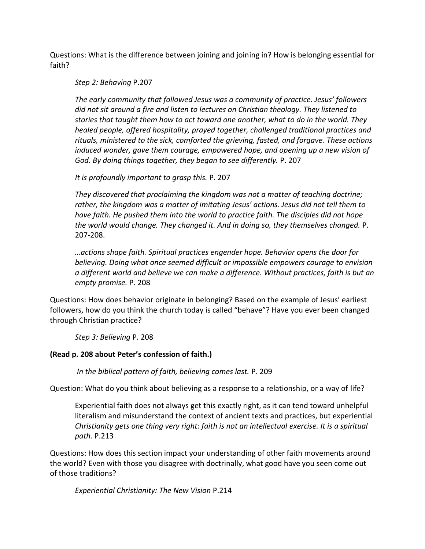Questions: What is the difference between joining and joining in? How is belonging essential for faith?

*Step 2: Behaving* P.207

*The early community that followed Jesus was a community of practice. Jesus' followers did not sit around a fire and listen to lectures on Christian theology. They listened to stories that taught them how to act toward one another, what to do in the world. They healed people, offered hospitality, prayed together, challenged traditional practices and rituals, ministered to the sick, comforted the grieving, fasted, and forgave. These actions induced wonder, gave them courage, empowered hope, and opening up a new vision of God. By doing things together, they began to see differently.* P. 207

*It is profoundly important to grasp this.* P. 207

*They discovered that proclaiming the kingdom was not a matter of teaching doctrine; rather, the kingdom was a matter of imitating Jesus' actions. Jesus did not tell them to have faith. He pushed them into the world to practice faith. The disciples did not hope the world would change. They changed it. And in doing so, they themselves changed.* P. 207-208.

*…actions shape faith. Spiritual practices engender hope. Behavior opens the door for believing. Doing what once seemed difficult or impossible empowers courage to envision a different world and believe we can make a difference. Without practices, faith is but an empty promise.* P. 208

Questions: How does behavior originate in belonging? Based on the example of Jesus' earliest followers, how do you think the church today is called "behave"? Have you ever been changed through Christian practice?

*Step 3: Believing* P. 208

# **(Read p. 208 about Peter's confession of faith.)**

*In the biblical pattern of faith, believing comes last.* P. 209

Question: What do you think about believing as a response to a relationship, or a way of life?

Experiential faith does not always get this exactly right, as it can tend toward unhelpful literalism and misunderstand the context of ancient texts and practices, but experiential *Christianity gets one thing very right: faith is not an intellectual exercise. It is a spiritual path.* P.213

Questions: How does this section impact your understanding of other faith movements around the world? Even with those you disagree with doctrinally, what good have you seen come out of those traditions?

*Experiential Christianity: The New Vision* P.214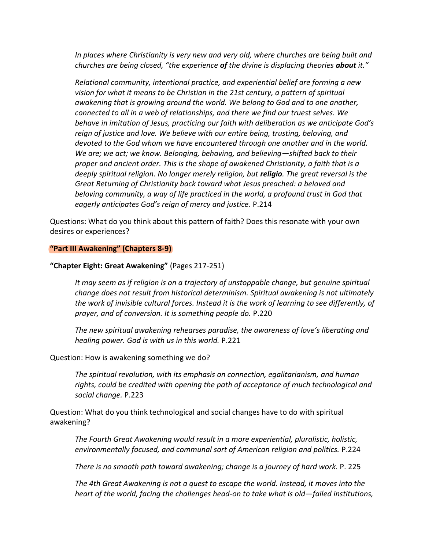*In places where Christianity is very new and very old, where churches are being built and churches are being closed, "the experience of the divine is displacing theories about it."*

*Relational community, intentional practice, and experiential belief are forming a new vision for what it means to be Christian in the 21st century, a pattern of spiritual awakening that is growing around the world. We belong to God and to one another, connected to all in a web of relationships, and there we find our truest selves. We behave in imitation of Jesus, practicing our faith with deliberation as we anticipate God's reign of justice and love. We believe with our entire being, trusting, beloving, and devoted to the God whom we have encountered through one another and in the world. We are; we act; we know. Belonging, behaving, and believing—shifted back to their proper and ancient order. This is the shape of awakened Christianity, a faith that is a deeply spiritual religion. No longer merely religion, but religio. The great reversal is the Great Returning of Christianity back toward what Jesus preached: a beloved and beloving community, a way of life practiced in the world, a profound trust in God that eagerly anticipates God's reign of mercy and justice.* P.214

Questions: What do you think about this pattern of faith? Does this resonate with your own desires or experiences?

#### **"Part III Awakening" (Chapters 8-9)**

#### **"Chapter Eight: Great Awakening"** (Pages 217-251)

*It may seem as if religion is on a trajectory of unstoppable change, but genuine spiritual change does not result from historical determinism. Spiritual awakening is not ultimately the work of invisible cultural forces. Instead it is the work of learning to see differently, of prayer, and of conversion. It is something people do.* P.220

*The new spiritual awakening rehearses paradise, the awareness of love's liberating and healing power. God is with us in this world.* P.221

Question: How is awakening something we do?

*The spiritual revolution, with its emphasis on connection, egalitarianism, and human rights, could be credited with opening the path of acceptance of much technological and social change.* P.223

Question: What do you think technological and social changes have to do with spiritual awakening?

*The Fourth Great Awakening would result in a more experiential, pluralistic, holistic, environmentally focused, and communal sort of American religion and politics.* P.224

*There is no smooth path toward awakening; change is a journey of hard work.* P. 225

*The 4th Great Awakening is not a quest to escape the world. Instead, it moves into the heart of the world, facing the challenges head-on to take what is old—failed institutions,*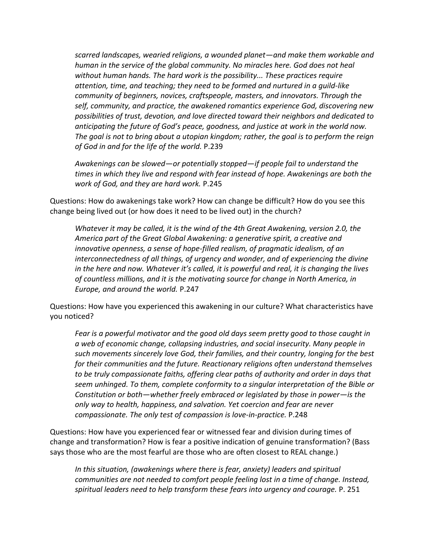*scarred landscapes, wearied religions, a wounded planet—and make them workable and human in the service of the global community. No miracles here. God does not heal without human hands. The hard work is the possibility... These practices require attention, time, and teaching; they need to be formed and nurtured in a guild-like community of beginners, novices, craftspeople, masters, and innovators. Through the self, community, and practice, the awakened romantics experience God, discovering new possibilities of trust, devotion, and love directed toward their neighbors and dedicated to anticipating the future of God's peace, goodness, and justice at work in the world now. The goal is not to bring about a utopian kingdom; rather, the goal is to perform the reign of God in and for the life of the world.* P.239

*Awakenings can be slowed—or potentially stopped—if people fail to understand the times in which they live and respond with fear instead of hope. Awakenings are both the work of God, and they are hard work.* P.245

Questions: How do awakenings take work? How can change be difficult? How do you see this change being lived out (or how does it need to be lived out) in the church?

*Whatever it may be called, it is the wind of the 4th Great Awakening, version 2.0, the America part of the Great Global Awakening: a generative spirit, a creative and innovative openness, a sense of hope-filled realism, of pragmatic idealism, of an interconnectedness of all things, of urgency and wonder, and of experiencing the divine in the here and now. Whatever it's called, it is powerful and real, it is changing the lives of countless millions, and it is the motivating source for change in North America, in Europe, and around the world.* P.247

Questions: How have you experienced this awakening in our culture? What characteristics have you noticed?

*Fear is a powerful motivator and the good old days seem pretty good to those caught in a web of economic change, collapsing industries, and social insecurity. Many people in such movements sincerely love God, their families, and their country, longing for the best for their communities and the future. Reactionary religions often understand themselves to be truly compassionate faiths, offering clear paths of authority and order in days that seem unhinged. To them, complete conformity to a singular interpretation of the Bible or Constitution or both—whether freely embraced or legislated by those in power—is the only way to health, happiness, and salvation. Yet coercion and fear are never compassionate. The only test of compassion is love-in-practice.* P.248

Questions: How have you experienced fear or witnessed fear and division during times of change and transformation? How is fear a positive indication of genuine transformation? (Bass says those who are the most fearful are those who are often closest to REAL change.)

*In this situation, (awakenings where there is fear, anxiety) leaders and spiritual communities are not needed to comfort people feeling lost in a time of change. Instead, spiritual leaders need to help transform these fears into urgency and courage.* P. 251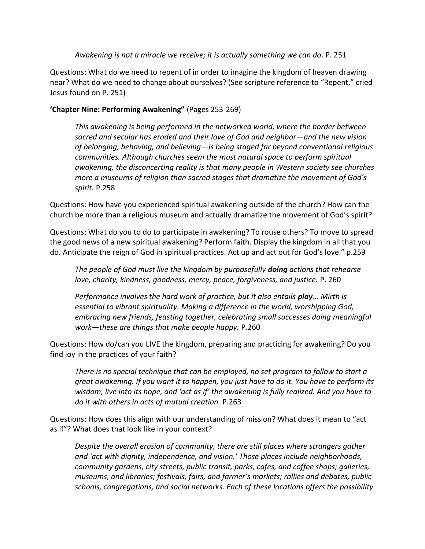*Awakening is not a miracle we receive; it is actually something we can do*. P. 251

Questions: What do we need to repent of in order to imagine the kingdom of heaven drawing near? What do we need to change about ourselves? (See scripture reference to "Repent," cried Jesus found on P. 251)

## **'Chapter Nine: Performing Awakening"** (Pages 253-269)

*This awakening is being performed in the networked world, where the border between sacred and secular has eroded and their love of God and neighbor—and the new vision of belonging, behaving, and believing—is being staged far beyond conventional religious communities. Although churches seem the most natural space to perform spiritual awakening, the disconcerting reality is that many people in Western society see churches more a museums of religion than sacred stages that dramatize the movement of God's spirit.* P.258

Questions: How have you experienced spiritual awakening outside of the church? How can the church be more than a religious museum and actually dramatize the movement of God's spirit?

Questions: What do you to do to participate in awakening? To rouse others? To move to spread the good news of a new spiritual awakening? Perform faith. Display the kingdom in all that you do. Anticipate the reign of God in spiritual practices. Act up and act out for God's love." p.259

*The people of God must live the kingdom by purposefully doing actions that rehearse love, charity, kindness, goodness, mercy, peace, forgiveness, and justice.* P. 260

*Performance involves the hard work of practice, but it also entails play... Mirth is essential to vibrant spirituality. Making a difference in the world, worshipping God, embracing new friends, feasting together, celebrating small successes doing meaningful work—these are things that make people happy.* P.260

Questions: How do/can you LIVE the kingdom, preparing and practicing for awakening? Do you find joy in the practices of your faith?

*There is no special technique that can be employed, no set program to follow to start a great awakening. If you want it to happen, you just have to do it. You have to perform its wisdom, live into its hope, and 'act as if' the awakening is fully realized. And you have to do it with others in acts of mutual creation.* P.263

Questions: How does this align with our understanding of mission? What does it mean to "act as if"? What does that look like in your context?

*Despite the overall erosion of community, there are still places where strangers gather and 'act with dignity, independence, and vision.' Those places include neighborhoods, community gardens, city streets, public transit, parks, cafes, and coffee shops; galleries, museums, and libraries; festivals, fairs, and farmer's markets; rallies and debates, public schools, congregations, and social networks. Each of these locations offers the possibility*